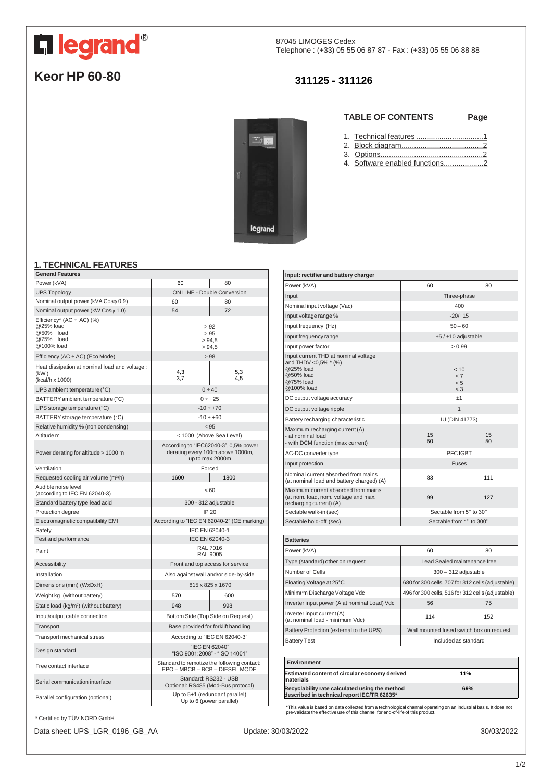# <span id="page-0-0"></span>L'i legrand®

87045 LIMOGES Cedex Telephone : (+33) 05 55 06 87 87 - Fax : (+33) 05 55 06 88 88

# **Keor HP 60-80**

# **311125 - 311126**

 $\frac{1}{2}$ 

legrand

#### **TABLE OF CONTENTS Page**

- 1. Technical features [................................1](#page-0-0)
- 2. Block [diagram.......................................2](#page-1-0)
- 3. [Options.................................................2](#page-1-0)
- 4. Software enabled functions....................2

#### **1. TECHNICAL FEATURES**

| <b>General Features</b>                                                          |                                                                                              |                                   |
|----------------------------------------------------------------------------------|----------------------------------------------------------------------------------------------|-----------------------------------|
| Power (kVA)                                                                      | 60                                                                                           | 80                                |
| <b>UPS Topology</b>                                                              | ON LINE - Double Conversion                                                                  |                                   |
| Nominal output power (kVA Coso 0.9)                                              | 60                                                                                           | 80                                |
| Nominal output power (kW Coso 1.0)                                               | 54                                                                                           | 72                                |
| Efficiency* $(AC + AC)$ (%)<br>@25% load<br>@50% load<br>@75% load<br>@100% load | > 92<br>> 95<br>> 94.5<br>> 94.5                                                             |                                   |
| Efficiency (AC $\div$ AC) (Eco Mode)                                             | > 98                                                                                         |                                   |
| Heat dissipation at nominal load and voltage :<br>(KW)<br>(kcal/h x 1000)        | 4,3<br>3,7                                                                                   | 5,3<br>4,5                        |
| UPS ambient temperature (°C)                                                     |                                                                                              | 0 ÷ 40                            |
| BATTERY ambient temperature (°C)                                                 | $0 ÷ +25$                                                                                    |                                   |
| UPS storage temperature (°C)                                                     | $-10 \div +70$                                                                               |                                   |
| BATTERY storage temperature (°C)                                                 | $-10 \div +60$                                                                               |                                   |
| Relative humidity % (non condensing)                                             | < 95                                                                                         |                                   |
| Altitude <sub>m</sub>                                                            | < 1000 (Above Sea Level)                                                                     |                                   |
| Power derating for altitude > 1000 m                                             | According to "IEC62040-3", 0,5% power<br>derating every 100m above 1000m,<br>up to max 2000m |                                   |
| Ventilation                                                                      |                                                                                              | Forced                            |
| Requested cooling air volume (m <sup>3</sup> /h)                                 | 1600                                                                                         | 1800                              |
| Audible noise level<br>(according to IEC EN 62040-3)                             |                                                                                              | < 60                              |
| Standard battery type lead acid                                                  | 300 - 312 adjustable                                                                         |                                   |
| Protection degree                                                                | IP 20                                                                                        |                                   |
| Electromagnetic compatibility EMI                                                | According to "IEC EN 62040-2" (CE marking)                                                   |                                   |
| Safety                                                                           | IEC EN 62040-1                                                                               |                                   |
| Test and performance                                                             | IEC EN 62040-3                                                                               |                                   |
| Paint                                                                            | <b>RAL 7016</b><br><b>RAL 9005</b>                                                           |                                   |
| <b>Accessibility</b>                                                             | Front and top access for service                                                             |                                   |
| Installation                                                                     | Also against wall and/or side-by-side                                                        |                                   |
| Dimensions (mm) (WxDxH)                                                          | 815 x 825 x 1670                                                                             |                                   |
| Weight kg (without battery)                                                      | 570                                                                                          | 600                               |
| Static load (kg/m <sup>2</sup> ) (without battery)                               | 948                                                                                          | 998                               |
| Input/output cable connection                                                    |                                                                                              | Bottom Side (Top Side on Request) |
| Transport                                                                        | Base provided for forklift handling                                                          |                                   |
| Transport mechanical stress                                                      | According to "IEC EN 62040-3"                                                                |                                   |
| Design standard                                                                  | "IEC EN 62040"<br>"ISO 9001:2008" - "ISO 14001"                                              |                                   |
| Free contact interface                                                           | Standard to remotize the following contact:<br>EPO - MBCB - BCB - DIESEL MODE                |                                   |
| Serial communication interface                                                   | Standard: RS232 - USB<br>Optional: RS485 (Mod-Bus protocol)                                  |                                   |
| Parallel configuration (optional)                                                | Up to 6 (power parallel)                                                                     | Up to 5+1 (redundant parallel)    |

| Input: rectifier and battery charger                                                                              |                                                   |          |
|-------------------------------------------------------------------------------------------------------------------|---------------------------------------------------|----------|
| Power (kVA)                                                                                                       | 60                                                | 80       |
| Input                                                                                                             | Three-phase                                       |          |
| Nominal input voltage (Vac)                                                                                       | 400                                               |          |
| Input voltage range %                                                                                             | $-20/+15$                                         |          |
| Input frequency (Hz)                                                                                              | $50 - 60$                                         |          |
| Input frequency range                                                                                             | ±5 / ±10 adjustable                               |          |
| Input power factor                                                                                                |                                                   | > 0.99   |
| Input current THD at nominal voltage<br>and THDV <0,5% * (%)<br>@25% load<br>@50% load<br>@75% load<br>@100% load | < 10<br>< 7<br>< 5<br>$\leq$ 3                    |          |
| DC output voltage accuracy                                                                                        | ±1                                                |          |
| DC output voltage ripple                                                                                          | $\mathbf{1}$                                      |          |
| Battery recharging characteristic                                                                                 | <b>IU (DIN 41773)</b>                             |          |
| Maximum recharging current (A)<br>- at nominal load<br>- with DCM function (max current)                          | 15<br>50                                          | 15<br>50 |
| AC-DC converter type                                                                                              | PFC IGBT                                          |          |
| Input protection                                                                                                  | <b>Fuses</b>                                      |          |
| Nominal current absorbed from mains<br>(at nominal load and battery charged) (A)                                  | 83                                                | 111      |
| Maximum current absorbed from mains<br>(at nom. load, nom. voltage and max.<br>recharging current) (A)            | 99                                                | 127      |
| Sectable walk-in (sec)                                                                                            | Sectable from 5" to 30"                           |          |
| Sectable hold-off (sec)                                                                                           | Sectable from 1" to 300"                          |          |
|                                                                                                                   |                                                   |          |
| <b>Batteries</b>                                                                                                  |                                                   |          |
| Power (kVA)                                                                                                       | 60                                                | 80       |
| Type (standard) other on request                                                                                  | Lead Sealed maintenance free                      |          |
| Number of Cells                                                                                                   | $300 - 312$ adjustable                            |          |
| Floating Voltage at 25°C                                                                                          | 680 for 300 cells, 707 for 312 cells (adjustable) |          |
| Minimum Discharge Voltage Vdc                                                                                     | 496 for 300 cells, 516 for 312 cells (adjustable) |          |
| Inverter input power (A at nominal Load) Vdc                                                                      | 56                                                | 75       |
| Inverter input current (A)<br>(at nominal load - minimum Vdc)                                                     | 114                                               | 152      |
| Battery Protection (external to the UPS)                                                                          | Wall mounted fused switch box on request          |          |
| <b>Battery Test</b>                                                                                               | Included as standard                              |          |
|                                                                                                                   |                                                   |          |

| Environment                                                                                   |     |
|-----------------------------------------------------------------------------------------------|-----|
| Estimated content of circular economy derived<br>materials                                    | 11% |
| Recyclability rate calculated using the method<br>described in technical report IEC/TR 62635* | 69% |

\*This value is based on data collected from a technological channel operating on an industrial basis. It does not pre-validate the effective use of this channel for end-of-life of this product.

\* Certified by TÜV NORD GmbH

Data sheet: UPS\_LGR\_0196\_GB\_AA Update: 30/03/2022 30/03/2022